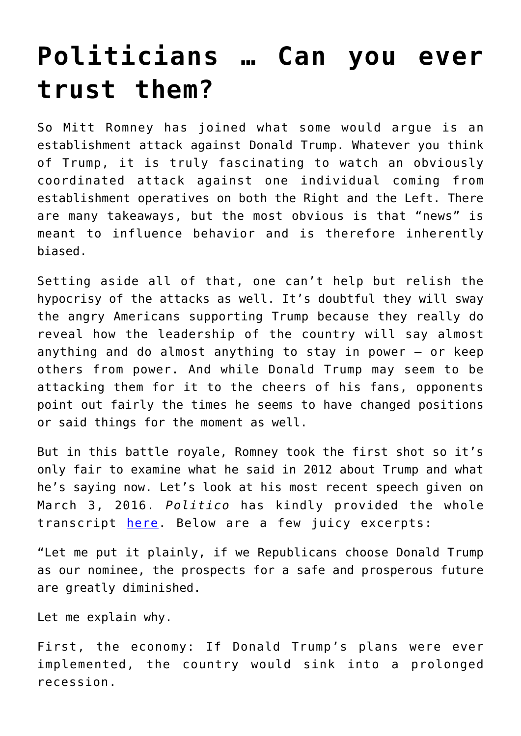## **[Politicians … Can you ever](https://intellectualtakeout.org/2016/03/politicians-can-you-ever-trust-them/) [trust them?](https://intellectualtakeout.org/2016/03/politicians-can-you-ever-trust-them/)**

So Mitt Romney has joined what some would argue is an establishment attack against Donald Trump. Whatever you think of Trump, it is truly fascinating to watch an obviously coordinated attack against one individual coming from establishment operatives on both the Right and the Left. There are many takeaways, but the most obvious is that "news" is meant to influence behavior and is therefore inherently biased.

Setting aside all of that, one can't help but relish the hypocrisy of the attacks as well. It's doubtful they will sway the angry Americans supporting Trump because they really do reveal how the leadership of the country will say almost anything and do almost anything to stay in power – or keep others from power. And while Donald Trump may seem to be attacking them for it to the cheers of his fans, opponents point out fairly the times he seems to have changed positions or said things for the moment as well.

But in this battle royale, Romney took the first shot so it's only fair to examine what he said in 2012 about Trump and what he's saying now. Let's look at his most recent speech given on March 3, 2016. *Politico* has kindly provided the whole transcript [here](http://www.politico.com/story/2016/03/full-transcript-mitt-romneys-remarks-on-donald-trump-and-the-2016-race-220176). Below are a few juicy excerpts:

"Let me put it plainly, if we Republicans choose Donald Trump as our nominee, the prospects for a safe and prosperous future are greatly diminished.

Let me explain why.

First, the economy: If Donald Trump's plans were ever implemented, the country would sink into a prolonged recession.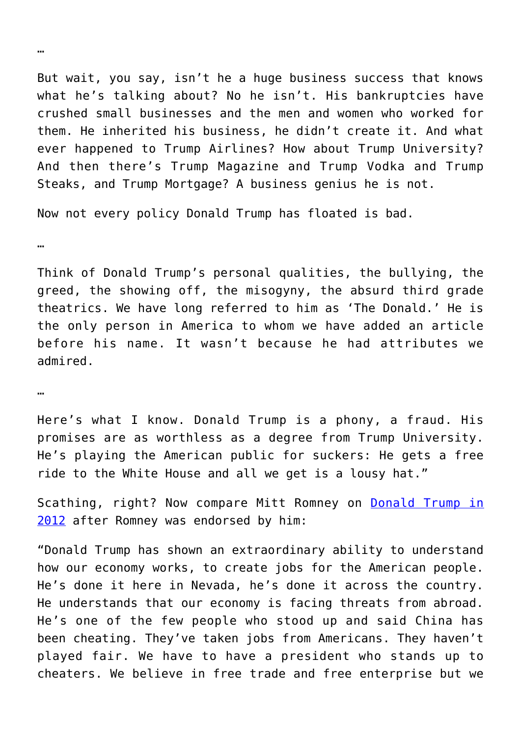But wait, you say, isn't he a huge business success that knows what he's talking about? No he isn't. His bankruptcies have crushed small businesses and the men and women who worked for them. He inherited his business, he didn't create it. And what ever happened to Trump Airlines? How about Trump University? And then there's Trump Magazine and Trump Vodka and Trump Steaks, and Trump Mortgage? A business genius he is not.

Now not every policy Donald Trump has floated is bad.

…

Think of Donald Trump's personal qualities, the bullying, the greed, the showing off, the misogyny, the absurd third grade theatrics. We have long referred to him as 'The Donald.' He is the only person in America to whom we have added an article before his name. It wasn't because he had attributes we admired.

…

Here's what I know. Donald Trump is a phony, a fraud. His promises are as worthless as a degree from Trump University. He's playing the American public for suckers: He gets a free ride to the White House and all we get is a lousy hat."

Scathing, right? Now compare Mitt Romney on **[Donald Trump in](http://time.com/4246367/donald-trump-mitt-romney-2012/)** [2012](http://time.com/4246367/donald-trump-mitt-romney-2012/) after Romney was endorsed by him:

"Donald Trump has shown an extraordinary ability to understand how our economy works, to create jobs for the American people. He's done it here in Nevada, he's done it across the country. He understands that our economy is facing threats from abroad. He's one of the few people who stood up and said China has been cheating. They've taken jobs from Americans. They haven't played fair. We have to have a president who stands up to cheaters. We believe in free trade and free enterprise but we